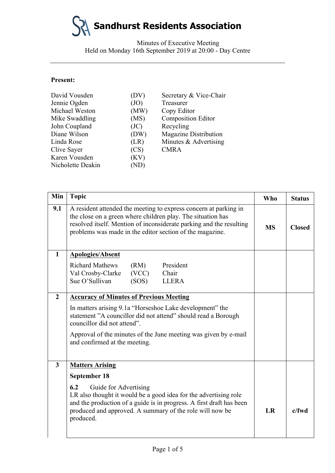# **Sandhurst Residents Association**

Minutes of Executive Meeting Held on Monday 16th September 2019 at 20:00 - Day Centre

#### **Present:**

| David Vousden     | (DV)           | Secretary & Vice-Chair       |
|-------------------|----------------|------------------------------|
| Jennie Ogden      | (JO)           | Treasurer                    |
| Michael Weston    | (MW)           | Copy Editor                  |
| Mike Swaddling    | (MS)           | <b>Composition Editor</b>    |
| John Coupland     | (JC)           | Recycling                    |
| Diane Wilson      | (DW)           | <b>Magazine Distribution</b> |
| Linda Rose        | (LR)           | Minutes & Advertising        |
| Clive Sayer       | (CS)           | <b>CMRA</b>                  |
| Karen Vousden     | (KV)           |                              |
| Nicholette Deakin | $\binom{N}{k}$ |                              |
|                   |                |                              |

| Min            | <b>Topic</b>                                                                                                                                                                                                                                                       | <b>Who</b> | <b>Status</b> |
|----------------|--------------------------------------------------------------------------------------------------------------------------------------------------------------------------------------------------------------------------------------------------------------------|------------|---------------|
| 9.1            | A resident attended the meeting to express concern at parking in<br>the close on a green where children play. The situation has<br>resolved itself. Mention of inconsiderate parking and the resulting<br>problems was made in the editor section of the magazine. |            | <b>Closed</b> |
| $\mathbf{1}$   | <b>Apologies/Absent</b>                                                                                                                                                                                                                                            |            |               |
|                | <b>Richard Mathews</b><br>President<br>(RM)<br>Chair<br>(VCC)<br>Val Crosby-Clarke<br>Sue O'Sullivan<br>(SOS)<br><b>LLERA</b>                                                                                                                                      |            |               |
| $\overline{2}$ | <b>Accuracy of Minutes of Previous Meeting</b>                                                                                                                                                                                                                     |            |               |
|                | In matters arising 9.1a "Horseshoe Lake development" the<br>statement "A councillor did not attend" should read a Borough<br>councillor did not attend".                                                                                                           |            |               |
|                | Approval of the minutes of the June meeting was given by e-mail<br>and confirmed at the meeting.                                                                                                                                                                   |            |               |
| $\overline{3}$ | <b>Matters Arising</b>                                                                                                                                                                                                                                             |            |               |
|                | September 18                                                                                                                                                                                                                                                       |            |               |
|                | 6.2<br>Guide for Advertising<br>LR also thought it would be a good idea for the advertising role<br>and the production of a guide is in progress. A first draft has been<br>produced and approved. A summary of the role will now be<br>produced.                  |            | $c$ /fwd      |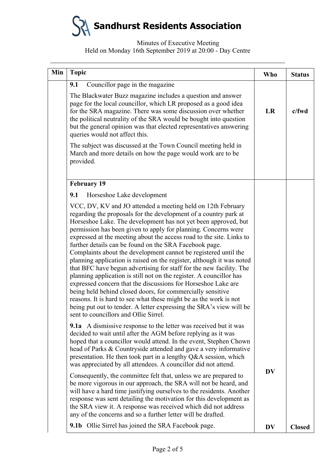**Sandhurst Residents Association**

### Minutes of Executive Meeting Held on Monday 16th September 2019 at 20:00 - Day Centre

| Min | <b>Topic</b>                                                                                                                                                                                                                                                                                                                                                                                                                                                                                                                                                                                                                                                                                                                                                                                                                                                                                                                                                                                                       | Who       | <b>Status</b> |
|-----|--------------------------------------------------------------------------------------------------------------------------------------------------------------------------------------------------------------------------------------------------------------------------------------------------------------------------------------------------------------------------------------------------------------------------------------------------------------------------------------------------------------------------------------------------------------------------------------------------------------------------------------------------------------------------------------------------------------------------------------------------------------------------------------------------------------------------------------------------------------------------------------------------------------------------------------------------------------------------------------------------------------------|-----------|---------------|
|     | Councillor page in the magazine<br>9.1                                                                                                                                                                                                                                                                                                                                                                                                                                                                                                                                                                                                                                                                                                                                                                                                                                                                                                                                                                             |           |               |
|     | The Blackwater Buzz magazine includes a question and answer<br>page for the local councillor, which LR proposed as a good idea<br>for the SRA magazine. There was some discussion over whether<br>the political neutrality of the SRA would be bought into question<br>but the general opinion was that elected representatives answering<br>queries would not affect this.                                                                                                                                                                                                                                                                                                                                                                                                                                                                                                                                                                                                                                        |           | $c$ /fwd      |
|     | The subject was discussed at the Town Council meeting held in<br>March and more details on how the page would work are to be<br>provided.                                                                                                                                                                                                                                                                                                                                                                                                                                                                                                                                                                                                                                                                                                                                                                                                                                                                          |           |               |
|     | <b>February 19</b>                                                                                                                                                                                                                                                                                                                                                                                                                                                                                                                                                                                                                                                                                                                                                                                                                                                                                                                                                                                                 |           |               |
|     | 9.1<br>Horseshoe Lake development                                                                                                                                                                                                                                                                                                                                                                                                                                                                                                                                                                                                                                                                                                                                                                                                                                                                                                                                                                                  |           |               |
|     | VCC, DV, KV and JO attended a meeting held on 12th February<br>regarding the proposals for the development of a country park at<br>Horseshoe Lake. The development has not yet been approved, but<br>permission has been given to apply for planning. Concerns were<br>expressed at the meeting about the access road to the site. Links to<br>further details can be found on the SRA Facebook page.<br>Complaints about the development cannot be registered until the<br>planning application is raised on the register, although it was noted<br>that BFC have begun advertising for staff for the new facility. The<br>planning application is still not on the register. A councillor has<br>expressed concern that the discussions for Horseshoe Lake are<br>being held behind closed doors, for commercially sensitive<br>reasons. It is hard to see what these might be as the work is not<br>being put out to tender. A letter expressing the SRA's view will be<br>sent to councillors and Ollie Sirrel |           |               |
|     | <b>9.1a</b> A dismissive response to the letter was received but it was<br>decided to wait until after the AGM before replying as it was<br>hoped that a councillor would attend. In the event, Stephen Chown<br>head of Parks & Countryside attended and gave a very informative<br>presentation. He then took part in a lengthy Q&A session, which<br>was appreciated by all attendees. A councillor did not attend.                                                                                                                                                                                                                                                                                                                                                                                                                                                                                                                                                                                             |           |               |
|     | Consequently, the committee felt that, unless we are prepared to<br>be more vigorous in our approach, the SRA will not be heard, and<br>will have a hard time justifying ourselves to the residents. Another<br>response was sent detailing the motivation for this development as<br>the SRA view it. A response was received which did not address<br>any of the concerns and so a further letter will be drafted.                                                                                                                                                                                                                                                                                                                                                                                                                                                                                                                                                                                               | <b>DV</b> |               |
|     | <b>9.1b</b> Ollie Sirrel has joined the SRA Facebook page.                                                                                                                                                                                                                                                                                                                                                                                                                                                                                                                                                                                                                                                                                                                                                                                                                                                                                                                                                         | DV        | <b>Closed</b> |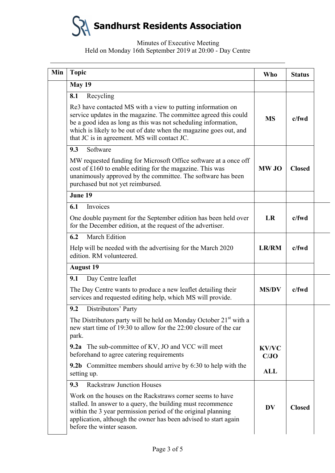**Sandhurst Residents Association**

## Minutes of Executive Meeting Held on Monday 16th September 2019 at 20:00 - Day Centre

| Min              | <b>Topic</b>                                                                                                                                                                                                                                                                                                                               | <b>Who</b>           | <b>Status</b> |
|------------------|--------------------------------------------------------------------------------------------------------------------------------------------------------------------------------------------------------------------------------------------------------------------------------------------------------------------------------------------|----------------------|---------------|
|                  | <b>May 19</b>                                                                                                                                                                                                                                                                                                                              |                      |               |
|                  | Recycling<br>8.1<br>Re3 have contacted MS with a view to putting information on<br>service updates in the magazine. The committee agreed this could<br>be a good idea as long as this was not scheduling information,<br>which is likely to be out of date when the magazine goes out, and<br>that JC is in agreement. MS will contact JC. | <b>MS</b>            | c/fwd         |
|                  | 9.3<br>Software<br>MW requested funding for Microsoft Office software at a once off<br>cost of £160 to enable editing for the magazine. This was<br>unanimously approved by the committee. The software has been<br>purchased but not yet reimbursed.                                                                                      | <b>MW JO</b>         | <b>Closed</b> |
|                  | June 19                                                                                                                                                                                                                                                                                                                                    |                      |               |
|                  | Invoices<br>6.1<br>One double payment for the September edition has been held over<br>for the December edition, at the request of the advertiser.                                                                                                                                                                                          | LR                   | $c$ /fwd      |
|                  | <b>March Edition</b><br>6.2<br>Help will be needed with the advertising for the March 2020<br>edition. RM volunteered.                                                                                                                                                                                                                     | <b>LR/RM</b>         | $c$ /fwd      |
| <b>August 19</b> |                                                                                                                                                                                                                                                                                                                                            |                      |               |
|                  | Day Centre leaflet<br>9.1<br>The Day Centre wants to produce a new leaflet detailing their<br>services and requested editing help, which MS will provide.                                                                                                                                                                                  | <b>MS/DV</b>         | c/fwd         |
|                  | Distributors' Party<br>9.2<br>The Distributors party will be held on Monday October 21 <sup>st</sup> with a<br>new start time of 19:30 to allow for the 22:00 closure of the car<br>park.                                                                                                                                                  |                      |               |
|                  | <b>9.2a</b> The sub-committee of KV, JO and VCC will meet<br>beforehand to agree catering requirements                                                                                                                                                                                                                                     | <b>KV/VC</b><br>C/JO |               |
|                  | 9.2b Committee members should arrive by 6:30 to help with the<br>setting up.                                                                                                                                                                                                                                                               | ALL                  |               |
|                  | <b>Rackstraw Junction Houses</b><br>9.3                                                                                                                                                                                                                                                                                                    |                      |               |
|                  | Work on the houses on the Rackstraws corner seems to have<br>stalled. In answer to a query, the building must recommence<br>within the 3 year permission period of the original planning<br>application, although the owner has been advised to start again<br>before the winter season.                                                   | DV                   | <b>Closed</b> |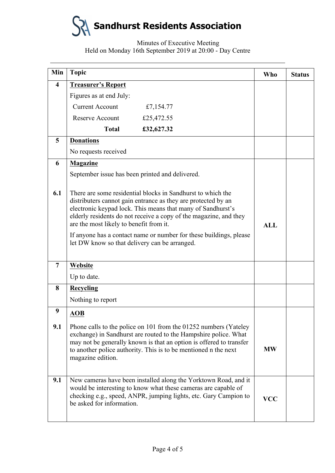

### Minutes of Executive Meeting Held on Monday 16th September 2019 at 20:00 - Day Centre

| Min                     | <b>Topic</b>                                                                                                                                                                                                                                                                                                |                                                                                                                                                                                                                                                                               | <b>Who</b> | <b>Status</b> |
|-------------------------|-------------------------------------------------------------------------------------------------------------------------------------------------------------------------------------------------------------------------------------------------------------------------------------------------------------|-------------------------------------------------------------------------------------------------------------------------------------------------------------------------------------------------------------------------------------------------------------------------------|------------|---------------|
| $\overline{\mathbf{4}}$ | <b>Treasurer's Report</b>                                                                                                                                                                                                                                                                                   |                                                                                                                                                                                                                                                                               |            |               |
|                         | Figures as at end July:                                                                                                                                                                                                                                                                                     |                                                                                                                                                                                                                                                                               |            |               |
|                         | <b>Current Account</b>                                                                                                                                                                                                                                                                                      | £7,154.77                                                                                                                                                                                                                                                                     |            |               |
|                         | <b>Reserve Account</b>                                                                                                                                                                                                                                                                                      | £25,472.55                                                                                                                                                                                                                                                                    |            |               |
|                         | <b>Total</b>                                                                                                                                                                                                                                                                                                | £32,627.32                                                                                                                                                                                                                                                                    |            |               |
| 5                       | <b>Donations</b>                                                                                                                                                                                                                                                                                            |                                                                                                                                                                                                                                                                               |            |               |
|                         | No requests received                                                                                                                                                                                                                                                                                        |                                                                                                                                                                                                                                                                               |            |               |
| 6                       | <b>Magazine</b>                                                                                                                                                                                                                                                                                             |                                                                                                                                                                                                                                                                               |            |               |
|                         | September issue has been printed and delivered.                                                                                                                                                                                                                                                             |                                                                                                                                                                                                                                                                               |            |               |
| 6.1                     | There are some residential blocks in Sandhurst to which the<br>distributers cannot gain entrance as they are protected by an<br>electronic keypad lock. This means that many of Sandhurst's<br>elderly residents do not receive a copy of the magazine, and they<br>are the most likely to benefit from it. |                                                                                                                                                                                                                                                                               |            |               |
|                         | let DW know so that delivery can be arranged.                                                                                                                                                                                                                                                               | If anyone has a contact name or number for these buildings, please                                                                                                                                                                                                            |            |               |
| $\overline{7}$          | Website                                                                                                                                                                                                                                                                                                     |                                                                                                                                                                                                                                                                               |            |               |
|                         | Up to date.                                                                                                                                                                                                                                                                                                 |                                                                                                                                                                                                                                                                               |            |               |
| 8                       | <b>Recycling</b>                                                                                                                                                                                                                                                                                            |                                                                                                                                                                                                                                                                               |            |               |
|                         | Nothing to report                                                                                                                                                                                                                                                                                           |                                                                                                                                                                                                                                                                               |            |               |
| 9                       | <b>AOB</b>                                                                                                                                                                                                                                                                                                  |                                                                                                                                                                                                                                                                               |            |               |
| 9.1                     | magazine edition.                                                                                                                                                                                                                                                                                           | Phone calls to the police on 101 from the 01252 numbers (Yateley<br>exchange) in Sandhurst are routed to the Hampshire police. What<br>may not be generally known is that an option is offered to transfer<br>to another police authority. This is to be mentioned n the next | <b>MW</b>  |               |
| 9.1                     | be asked for information.                                                                                                                                                                                                                                                                                   | New cameras have been installed along the Yorktown Road, and it<br>would be interesting to know what these cameras are capable of<br>checking e.g., speed, ANPR, jumping lights, etc. Gary Campion to                                                                         | <b>VCC</b> |               |